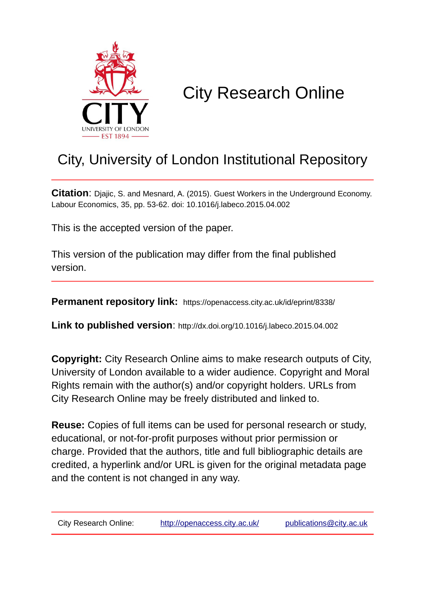

# City Research Online

# City, University of London Institutional Repository

**Citation**: Djajic, S. and Mesnard, A. (2015). Guest Workers in the Underground Economy. Labour Economics, 35, pp. 53-62. doi: 10.1016/j.labeco.2015.04.002

This is the accepted version of the paper.

This version of the publication may differ from the final published version.

**Permanent repository link:** https://openaccess.city.ac.uk/id/eprint/8338/

**Link to published version**: http://dx.doi.org/10.1016/j.labeco.2015.04.002

**Copyright:** City Research Online aims to make research outputs of City, University of London available to a wider audience. Copyright and Moral Rights remain with the author(s) and/or copyright holders. URLs from City Research Online may be freely distributed and linked to.

**Reuse:** Copies of full items can be used for personal research or study, educational, or not-for-profit purposes without prior permission or charge. Provided that the authors, title and full bibliographic details are credited, a hyperlink and/or URL is given for the original metadata page and the content is not changed in any way.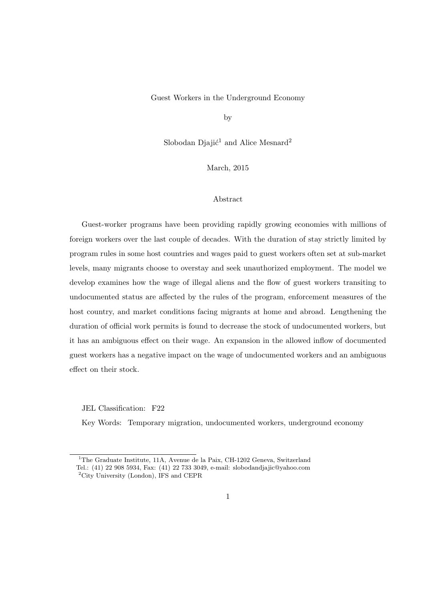### Guest Workers in the Underground Economy

by

Slobodan Djajić<sup>1</sup> and Alice Mesnard<sup>2</sup>

March, 2015

## Abstract

Guest-worker programs have been providing rapidly growing economies with millions of foreign workers over the last couple of decades. With the duration of stay strictly limited by program rules in some host countries and wages paid to guest workers often set at sub-market levels, many migrants choose to overstay and seek unauthorized employment. The model we develop examines how the wage of illegal aliens and the flow of guest workers transiting to undocumented status are affected by the rules of the program, enforcement measures of the host country, and market conditions facing migrants at home and abroad. Lengthening the duration of official work permits is found to decrease the stock of undocumented workers, but it has an ambiguous effect on their wage. An expansion in the allowed inflow of documented guest workers has a negative impact on the wage of undocumented workers and an ambiguous effect on their stock.

JEL Classification: F22

Key Words: Temporary migration, undocumented workers, underground economy

<sup>1</sup>The Graduate Institute, 11A, Avenue de la Paix, CH-1202 Geneva, Switzerland Tel.: (41) 22 908 5934, Fax: (41) 22 733 3049, e-mail: slobodandjajic@yahoo.com <sup>2</sup>City University (London), IFS and CEPR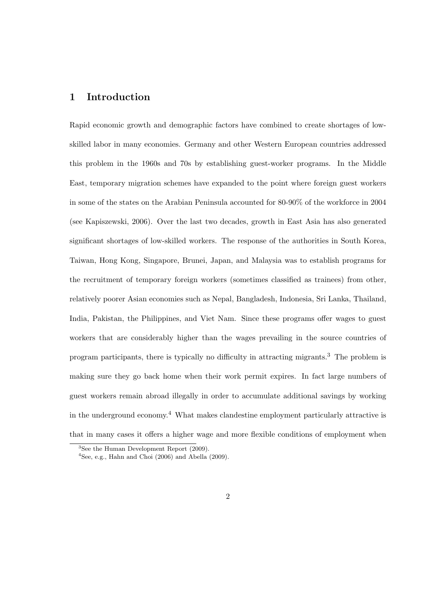# **1 Introduction**

Rapid economic growth and demographic factors have combined to create shortages of lowskilled labor in many economies. Germany and other Western European countries addressed this problem in the 1960s and 70s by establishing guest-worker programs. In the Middle East, temporary migration schemes have expanded to the point where foreign guest workers in some of the states on the Arabian Peninsula accounted for 80-90% of the workforce in 2004 (see Kapiszewski, 2006). Over the last two decades, growth in East Asia has also generated significant shortages of low-skilled workers. The response of the authorities in South Korea, Taiwan, Hong Kong, Singapore, Brunei, Japan, and Malaysia was to establish programs for the recruitment of temporary foreign workers (sometimes classified as trainees) from other, relatively poorer Asian economies such as Nepal, Bangladesh, Indonesia, Sri Lanka, Thailand, India, Pakistan, the Philippines, and Viet Nam. Since these programs offer wages to guest workers that are considerably higher than the wages prevailing in the source countries of program participants, there is typically no difficulty in attracting migrants.<sup>3</sup> The problem is making sure they go back home when their work permit expires. In fact large numbers of guest workers remain abroad illegally in order to accumulate additional savings by working in the underground economy.<sup>4</sup> What makes clandestine employment particularly attractive is that in many cases it offers a higher wage and more flexible conditions of employment when

<sup>&</sup>lt;sup>3</sup>See the Human Development Report (2009).

 $4$ See, e.g., Hahn and Choi (2006) and Abella (2009).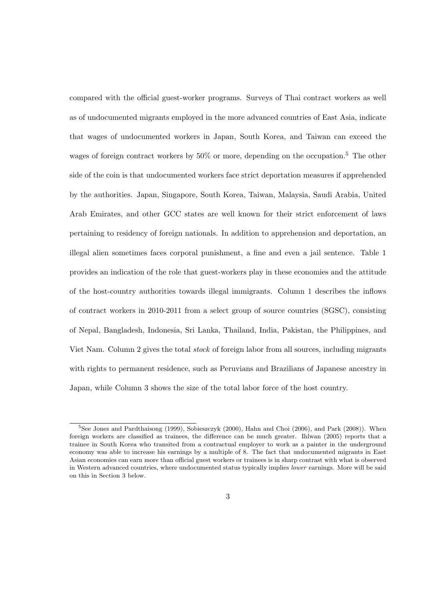compared with the official guest-worker programs. Surveys of Thai contract workers as well as of undocumented migrants employed in the more advanced countries of East Asia, indicate that wages of undocumented workers in Japan, South Korea, and Taiwan can exceed the wages of foreign contract workers by  $50\%$  or more, depending on the occupation.<sup>5</sup> The other side of the coin is that undocumented workers face strict deportation measures if apprehended by the authorities. Japan, Singapore, South Korea, Taiwan, Malaysia, Saudi Arabia, United Arab Emirates, and other GCC states are well known for their strict enforcement of laws pertaining to residency of foreign nationals. In addition to apprehension and deportation, an illegal alien sometimes faces corporal punishment, a fine and even a jail sentence. Table 1 provides an indication of the role that guest-workers play in these economies and the attitude of the host-country authorities towards illegal immigrants. Column 1 describes the inflows of contract workers in 2010-2011 from a select group of source countries (SGSC), consisting of Nepal, Bangladesh, Indonesia, Sri Lanka, Thailand, India, Pakistan, the Philippines, and Viet Nam. Column 2 gives the total *stock* of foreign labor from all sources, including migrants with rights to permanent residence, such as Peruvians and Brazilians of Japanese ancestry in Japan, while Column 3 shows the size of the total labor force of the host country.

<sup>&</sup>lt;sup>5</sup>See Jones and Pardthaisong (1999), Sobieszczyk (2000), Hahn and Choi (2006), and Park (2008)). When foreign workers are classified as trainees, the difference can be much greater. Ihlwan (2005) reports that a trainee in South Korea who transited from a contractual employer to work as a painter in the underground economy was able to increase his earnings by a multiple of 8. The fact that undocumented migrants in East Asian economies can earn more than official guest workers or trainees is in sharp contrast with what is observed in Western advanced countries, where undocumented status typically implies *lower* earnings. More will be said on this in Section 3 below.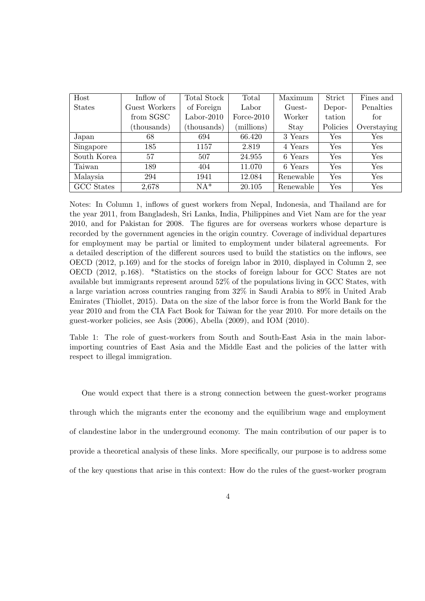| Host          | Inflow of     | Total Stock  | Total         | Maximum   | Strict               | Fines and   |
|---------------|---------------|--------------|---------------|-----------|----------------------|-------------|
| <b>States</b> | Guest Workers | of Foreign   | Labor         | Guest-    | Depor-               | Penalties   |
|               | from SGSC     | $Labor-2010$ | Force- $2010$ | Worker    | tation               | for         |
|               | (thousands)   | thousands)   | (millions)    | Stay      | Policies             | Overstaying |
| Japan         | 68            | 694          | 66.420        | 3 Years   | Yes                  | Yes         |
| Singapore     | 185           | 1157         | 2.819         | 4 Years   | Yes                  | Yes         |
| South Korea   | 57            | 507          | 24.955        | 6 Years   | Yes                  | Yes         |
| Taiwan        | 189           | 404          | 11.070        | 6 Years   | Yes                  | Yes         |
| Malaysia      | 294           | 1941         | 12.084        | Renewable | Yes                  | Yes         |
| GCC States    | 2,678         | $NA^*$       | 20.105        | Renewable | $\operatorname{Yes}$ | Yes         |

Notes: In Column 1, inflows of guest workers from Nepal, Indonesia, and Thailand are for the year 2011, from Bangladesh, Sri Lanka, India, Philippines and Viet Nam are for the year 2010, and for Pakistan for 2008. The figures are for overseas workers whose departure is recorded by the government agencies in the origin country. Coverage of individual departures for employment may be partial or limited to employment under bilateral agreements. For a detailed description of the different sources used to build the statistics on the inflows, see OECD (2012, p.169) and for the stocks of foreign labor in 2010, displayed in Column 2, see OECD (2012, p.168). \*Statistics on the stocks of foreign labour for GCC States are not available but immigrants represent around 52% of the populations living in GCC States, with a large variation across countries ranging from 32% in Saudi Arabia to 89% in United Arab Emirates (Thiollet, 2015). Data on the size of the labor force is from the World Bank for the year 2010 and from the CIA Fact Book for Taiwan for the year 2010. For more details on the guest-worker policies, see Asis (2006), Abella (2009), and IOM (2010).

Table 1: The role of guest-workers from South and South-East Asia in the main laborimporting countries of East Asia and the Middle East and the policies of the latter with respect to illegal immigration.

One would expect that there is a strong connection between the guest-worker programs through which the migrants enter the economy and the equilibrium wage and employment of clandestine labor in the underground economy. The main contribution of our paper is to provide a theoretical analysis of these links. More specifically, our purpose is to address some of the key questions that arise in this context: How do the rules of the guest-worker program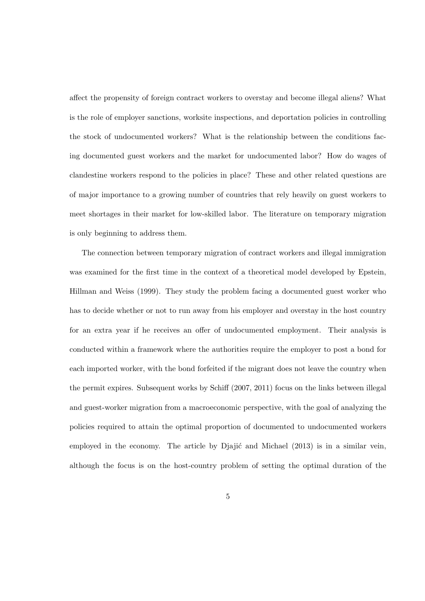affect the propensity of foreign contract workers to overstay and become illegal aliens? What is the role of employer sanctions, worksite inspections, and deportation policies in controlling the stock of undocumented workers? What is the relationship between the conditions facing documented guest workers and the market for undocumented labor? How do wages of clandestine workers respond to the policies in place? These and other related questions are of major importance to a growing number of countries that rely heavily on guest workers to meet shortages in their market for low-skilled labor. The literature on temporary migration is only beginning to address them.

The connection between temporary migration of contract workers and illegal immigration was examined for the first time in the context of a theoretical model developed by Epstein, Hillman and Weiss (1999). They study the problem facing a documented guest worker who has to decide whether or not to run away from his employer and overstay in the host country for an extra year if he receives an offer of undocumented employment. Their analysis is conducted within a framework where the authorities require the employer to post a bond for each imported worker, with the bond forfeited if the migrant does not leave the country when the permit expires. Subsequent works by Schiff (2007, 2011) focus on the links between illegal and guest-worker migration from a macroeconomic perspective, with the goal of analyzing the policies required to attain the optimal proportion of documented to undocumented workers employed in the economy. The article by  $D_i$  and Michael  $(2013)$  is in a similar vein, although the focus is on the host-country problem of setting the optimal duration of the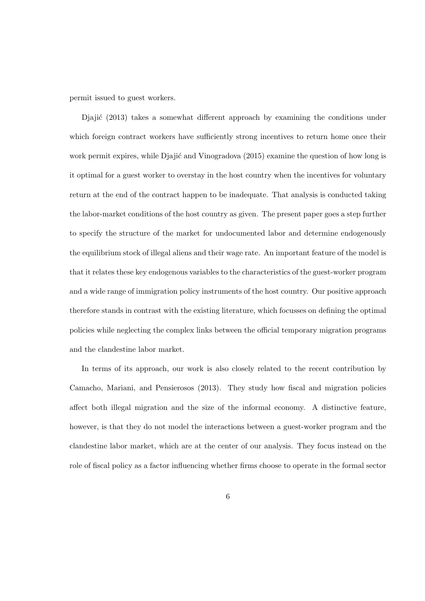permit issued to guest workers.

Djajić  $(2013)$  takes a somewhat different approach by examining the conditions under which foreign contract workers have sufficiently strong incentives to return home once their work permit expires, while Djajić and Vinogradova  $(2015)$  examine the question of how long is it optimal for a guest worker to overstay in the host country when the incentives for voluntary return at the end of the contract happen to be inadequate. That analysis is conducted taking the labor-market conditions of the host country as given. The present paper goes a step further to specify the structure of the market for undocumented labor and determine endogenously the equilibrium stock of illegal aliens and their wage rate. An important feature of the model is that it relates these key endogenous variables to the characteristics of the guest-worker program and a wide range of immigration policy instruments of the host country. Our positive approach therefore stands in contrast with the existing literature, which focusses on defining the optimal policies while neglecting the complex links between the official temporary migration programs and the clandestine labor market.

In terms of its approach, our work is also closely related to the recent contribution by Camacho, Mariani, and Pensierosos (2013). They study how fiscal and migration policies affect both illegal migration and the size of the informal economy. A distinctive feature, however, is that they do not model the interactions between a guest-worker program and the clandestine labor market, which are at the center of our analysis. They focus instead on the role of fiscal policy as a factor influencing whether firms choose to operate in the formal sector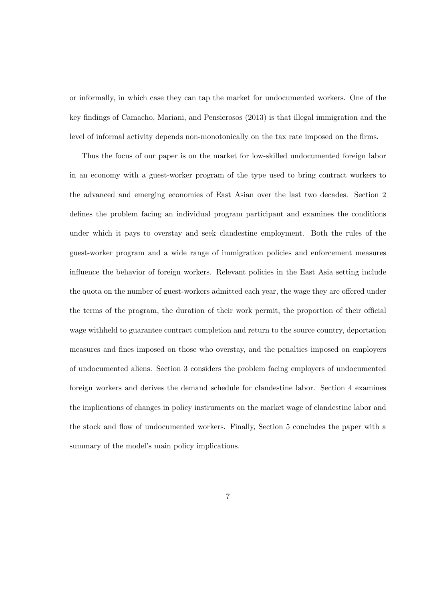or informally, in which case they can tap the market for undocumented workers. One of the key findings of Camacho, Mariani, and Pensierosos (2013) is that illegal immigration and the level of informal activity depends non-monotonically on the tax rate imposed on the firms.

Thus the focus of our paper is on the market for low-skilled undocumented foreign labor in an economy with a guest-worker program of the type used to bring contract workers to the advanced and emerging economies of East Asian over the last two decades. Section 2 defines the problem facing an individual program participant and examines the conditions under which it pays to overstay and seek clandestine employment. Both the rules of the guest-worker program and a wide range of immigration policies and enforcement measures influence the behavior of foreign workers. Relevant policies in the East Asia setting include the quota on the number of guest-workers admitted each year, the wage they are offered under the terms of the program, the duration of their work permit, the proportion of their official wage withheld to guarantee contract completion and return to the source country, deportation measures and fines imposed on those who overstay, and the penalties imposed on employers of undocumented aliens. Section 3 considers the problem facing employers of undocumented foreign workers and derives the demand schedule for clandestine labor. Section 4 examines the implications of changes in policy instruments on the market wage of clandestine labor and the stock and flow of undocumented workers. Finally, Section 5 concludes the paper with a summary of the model's main policy implications.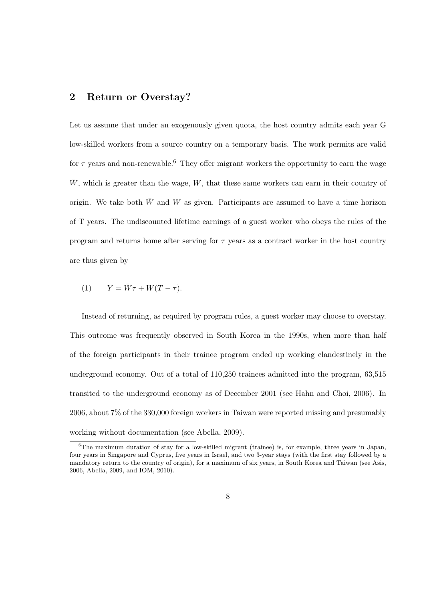# **2 Return or Overstay?**

Let us assume that under an exogenously given quota, the host country admits each year G low-skilled workers from a source country on a temporary basis. The work permits are valid for  $\tau$  years and non-renewable.<sup>6</sup> They offer migrant workers the opportunity to earn the wage  $\bar{W}$ , which is greater than the wage,  $W$ , that these same workers can earn in their country of origin. We take both  $\bar{W}$  and *W* as given. Participants are assumed to have a time horizon of T years. The undiscounted lifetime earnings of a guest worker who obeys the rules of the program and returns home after serving for *τ* years as a contract worker in the host country are thus given by

$$
(1) \qquad Y = \bar{W}\tau + W(T - \tau).
$$

Instead of returning, as required by program rules, a guest worker may choose to overstay. This outcome was frequently observed in South Korea in the 1990s, when more than half of the foreign participants in their trainee program ended up working clandestinely in the underground economy. Out of a total of 110,250 trainees admitted into the program, 63,515 transited to the underground economy as of December 2001 (see Hahn and Choi, 2006). In 2006, about 7% of the 330,000 foreign workers in Taiwan were reported missing and presumably working without documentation (see Abella, 2009).

<sup>6</sup>The maximum duration of stay for a low-skilled migrant (trainee) is, for example, three years in Japan, four years in Singapore and Cyprus, five years in Israel, and two 3-year stays (with the first stay followed by a mandatory return to the country of origin), for a maximum of six years, in South Korea and Taiwan (see Asis, 2006, Abella, 2009, and IOM, 2010).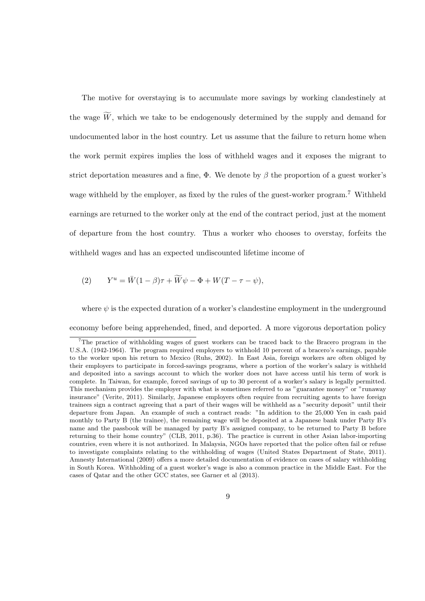The motive for overstaying is to accumulate more savings by working clandestinely at the wage  $\widetilde{W}$ , which we take to be endogenously determined by the supply and demand for undocumented labor in the host country. Let us assume that the failure to return home when the work permit expires implies the loss of withheld wages and it exposes the migrant to strict deportation measures and a fine,  $\Phi$ . We denote by  $\beta$  the proportion of a guest worker's wage withheld by the employer, as fixed by the rules of the guest-worker program.<sup>7</sup> Withheld earnings are returned to the worker only at the end of the contract period, just at the moment of departure from the host country. Thus a worker who chooses to overstay, forfeits the withheld wages and has an expected undiscounted lifetime income of

(2) 
$$
Y^u = \overline{W}(1-\beta)\tau + \widetilde{W}\psi - \Phi + W(T-\tau-\psi),
$$

where  $\psi$  is the expected duration of a worker's clandestine employment in the underground economy before being apprehended, fined, and deported. A more vigorous deportation policy

<sup>&</sup>lt;sup>7</sup>The practice of withholding wages of guest workers can be traced back to the Bracero program in the U.S.A. (1942-1964). The program required employers to withhold 10 percent of a bracero's earnings, payable to the worker upon his return to Mexico (Ruhs, 2002). In East Asia, foreign workers are often obliged by their employers to participate in forced-savings programs, where a portion of the worker's salary is withheld and deposited into a savings account to which the worker does not have access until his term of work is complete. In Taiwan, for example, forced savings of up to 30 percent of a worker's salary is legally permitted. This mechanism provides the employer with what is sometimes referred to as "guarantee money" or "runaway insurance" (Verite, 2011). Similarly, Japanese employers often require from recruiting agents to have foreign trainees sign a contract agreeing that a part of their wages will be withheld as a "security deposit" until their departure from Japan. An example of such a contract reads: "In addition to the 25,000 Yen in cash paid monthly to Party B (the trainee), the remaining wage will be deposited at a Japanese bank under Party B's name and the passbook will be managed by party B's assigned company, to be returned to Party B before returning to their home country" (CLB, 2011, p.36). The practice is current in other Asian labor-importing countries, even where it is not authorized. In Malaysia, NGOs have reported that the police often fail or refuse to investigate complaints relating to the withholding of wages (United States Department of State, 2011). Amnesty International (2009) offers a more detailed documentation of evidence on cases of salary withholding in South Korea. Withholding of a guest worker's wage is also a common practice in the Middle East. For the cases of Qatar and the other GCC states, see Garner et al (2013).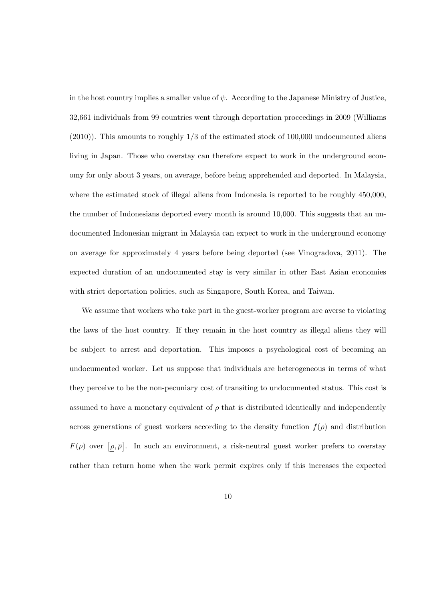in the host country implies a smaller value of *ψ*. According to the Japanese Ministry of Justice, 32,661 individuals from 99 countries went through deportation proceedings in 2009 (Williams (2010)). This amounts to roughly 1/3 of the estimated stock of 100,000 undocumented aliens living in Japan. Those who overstay can therefore expect to work in the underground economy for only about 3 years, on average, before being apprehended and deported. In Malaysia, where the estimated stock of illegal aliens from Indonesia is reported to be roughly 450,000, the number of Indonesians deported every month is around 10,000. This suggests that an undocumented Indonesian migrant in Malaysia can expect to work in the underground economy on average for approximately 4 years before being deported (see Vinogradova, 2011). The expected duration of an undocumented stay is very similar in other East Asian economies with strict deportation policies, such as Singapore, South Korea, and Taiwan.

We assume that workers who take part in the guest-worker program are averse to violating the laws of the host country. If they remain in the host country as illegal aliens they will be subject to arrest and deportation. This imposes a psychological cost of becoming an undocumented worker. Let us suppose that individuals are heterogeneous in terms of what they perceive to be the non-pecuniary cost of transiting to undocumented status. This cost is assumed to have a monetary equivalent of  $\rho$  that is distributed identically and independently across generations of guest workers according to the density function  $f(\rho)$  and distribution  $F(\rho)$  over  $\left[\rho,\overline{\rho}\right]$ . In such an environment, a risk-neutral guest worker prefers to overstay rather than return home when the work permit expires only if this increases the expected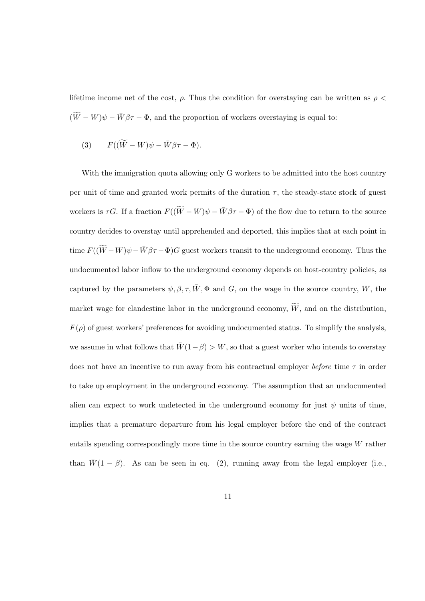lifetime income net of the cost,  $\rho$ . Thus the condition for overstaying can be written as  $\rho$  <  $(\widetilde{W} - W)\psi - \overline{W}\beta\tau - \Phi$ , and the proportion of workers overstaying is equal to:

(3) 
$$
F((\widetilde{W} - W)\psi - \bar{W}\beta\tau - \Phi).
$$

With the immigration quota allowing only G workers to be admitted into the host country per unit of time and granted work permits of the duration  $\tau$ , the steady-state stock of guest workers is  $\tau G$ . If a fraction  $F((\widetilde{W} - W)\psi - \bar{W}\beta\tau - \Phi)$  of the flow due to return to the source country decides to overstay until apprehended and deported, this implies that at each point in time  $F((\widetilde{W} – W)\psi - \bar{W}\beta\tau - \Phi)G$  guest workers transit to the underground economy. Thus the undocumented labor inflow to the underground economy depends on host-country policies, as captured by the parameters  $\psi, \beta, \tau, \overline{W}, \Phi$  and *G*, on the wage in the source country, *W*, the market wage for clandestine labor in the underground economy,  $\widetilde{W}$ , and on the distribution,  $F(\rho)$  of guest workers' preferences for avoiding undocumented status. To simplify the analysis, we assume in what follows that  $\overline{W}(1-\beta) > W$ , so that a guest worker who intends to overstay does not have an incentive to run away from his contractual employer *before* time *τ* in order to take up employment in the underground economy. The assumption that an undocumented alien can expect to work undetected in the underground economy for just  $\psi$  units of time, implies that a premature departure from his legal employer before the end of the contract entails spending correspondingly more time in the source country earning the wage *W* rather than  $\bar{W}(1 - \beta)$ . As can be seen in eq. (2), running away from the legal employer (i.e.,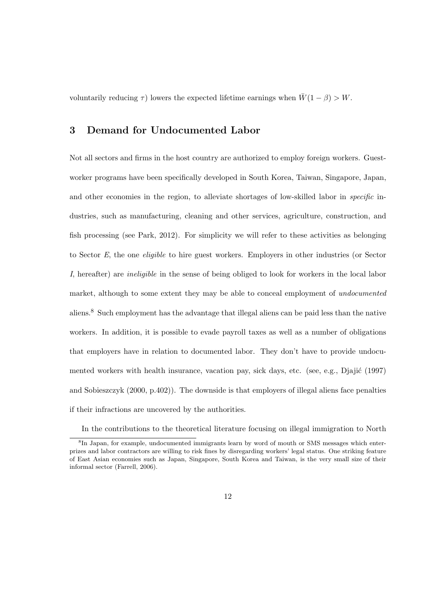voluntarily reducing  $\tau$ ) lowers the expected lifetime earnings when  $\bar{W}(1 - \beta) > W$ .

# **3 Demand for Undocumented Labor**

Not all sectors and firms in the host country are authorized to employ foreign workers. Guestworker programs have been specifically developed in South Korea, Taiwan, Singapore, Japan, and other economies in the region, to alleviate shortages of low-skilled labor in *specific* industries, such as manufacturing, cleaning and other services, agriculture, construction, and fish processing (see Park, 2012). For simplicity we will refer to these activities as belonging to Sector *E*, the one *eligible* to hire guest workers. Employers in other industries (or Sector *I*, hereafter) are *ineligible* in the sense of being obliged to look for workers in the local labor market, although to some extent they may be able to conceal employment of *undocumented* aliens.<sup>8</sup> Such employment has the advantage that illegal aliens can be paid less than the native workers. In addition, it is possible to evade payroll taxes as well as a number of obligations that employers have in relation to documented labor. They don't have to provide undocumented workers with health insurance, vacation pay, sick days, etc. (see, e.g., Djajić (1997) and Sobieszczyk (2000, p.402)). The downside is that employers of illegal aliens face penalties if their infractions are uncovered by the authorities.

In the contributions to the theoretical literature focusing on illegal immigration to North

<sup>&</sup>lt;sup>8</sup>In Japan, for example, undocumented immigrants learn by word of mouth or SMS messages which enterprizes and labor contractors are willing to risk fines by disregarding workers' legal status. One striking feature of East Asian economies such as Japan, Singapore, South Korea and Taiwan, is the very small size of their informal sector (Farrell, 2006).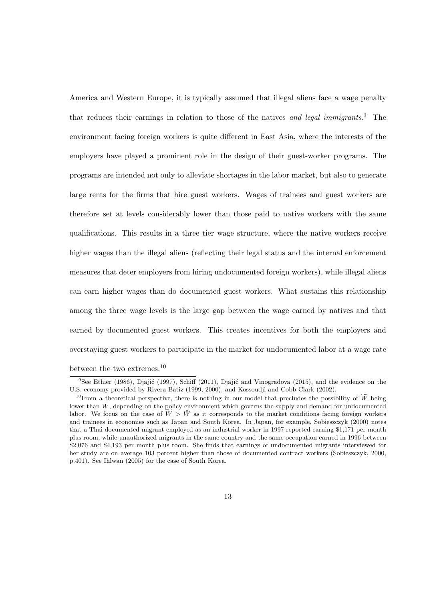America and Western Europe, it is typically assumed that illegal aliens face a wage penalty that reduces their earnings in relation to those of the natives *and legal immigrants*. <sup>9</sup> The environment facing foreign workers is quite different in East Asia, where the interests of the employers have played a prominent role in the design of their guest-worker programs. The programs are intended not only to alleviate shortages in the labor market, but also to generate large rents for the firms that hire guest workers. Wages of trainees and guest workers are therefore set at levels considerably lower than those paid to native workers with the same qualifications. This results in a three tier wage structure, where the native workers receive higher wages than the illegal aliens (reflecting their legal status and the internal enforcement measures that deter employers from hiring undocumented foreign workers), while illegal aliens can earn higher wages than do documented guest workers. What sustains this relationship among the three wage levels is the large gap between the wage earned by natives and that earned by documented guest workers. This creates incentives for both the employers and overstaying guest workers to participate in the market for undocumented labor at a wage rate

between the two extremes.<sup>10</sup>

 $9$ See Ethier (1986), Djajić (1997), Schiff (2011), Djajić and Vinogradova (2015), and the evidence on the U.S. economy provided by Rivera-Batiz (1999, 2000), and Kossoudji and Cobb-Clark (2002).

<sup>&</sup>lt;sup>10</sup>From a theoretical perspective, there is nothing in our model that precludes the possibility of  $\widetilde{W}$  being lower than  $\bar{W}$ , depending on the policy environment which governs the supply and demand for undocumented labor. We focus on the case of  $W > \bar{W}$  as it corresponds to the market conditions facing foreign workers and trainees in economies such as Japan and South Korea. In Japan, for example, Sobieszczyk (2000) notes that a Thai documented migrant employed as an industrial worker in 1997 reported earning \$1,171 per month plus room, while unauthorized migrants in the same country and the same occupation earned in 1996 between \$2,076 and \$4,193 per month plus room. She finds that earnings of undocumented migrants interviewed for her study are on average 103 percent higher than those of documented contract workers (Sobieszczyk, 2000, p.401). See Ihlwan (2005) for the case of South Korea.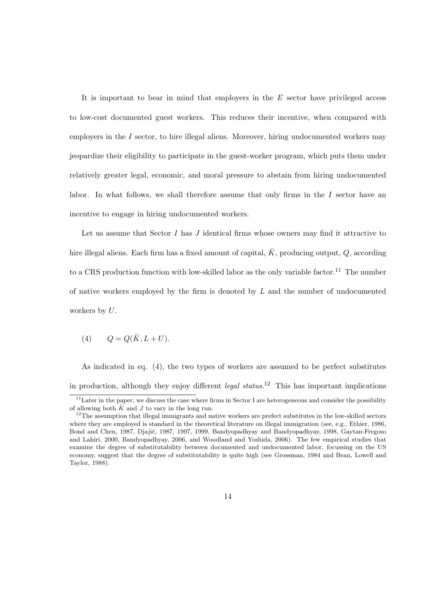It is important to bear in mind that employers in the *E* sector have privileged access to low-cost documented guest workers. This reduces their incentive, when compared with employers in the *I* sector, to hire illegal aliens. Moreover, hiring undocumented workers may jeopardize their eligibility to participate in the guest-worker program, which puts them under relatively greater legal, economic, and moral pressure to abstain from hiring undocumented labor. In what follows, we shall therefore assume that only firms in the *I* sector have an incentive to engage in hiring undocumented workers.

Let us assume that Sector *I* has *J* identical firms whose owners may find it attractive to hire illegal aliens. Each firm has a fixed amount of capital,  $K$ , producing output,  $Q$ , according to a CRS production function with low-skilled labor as the only variable factor.<sup>11</sup> The number of native workers employed by the firm is denoted by *L* and the number of undocumented workers by *U*.

$$
(4) \qquad Q = Q(\bar{K}, L + U).
$$

As indicated in eq. (4), the two types of workers are assumed to be perfect substitutes in production, although they enjoy different *legal status*. <sup>12</sup> This has important implications

 $11$ Later in the paper, we discuss the case where firms in Sector I are heterogeneous and consider the possibility of allowing both  $\bar{K}$  and *J* to vary in the long run.

<sup>&</sup>lt;sup>12</sup>The assumption that illegal immigrants and native workers are prefect substitutes in the low-skilled sectors where they are employed is standard in the theoretical literature on illegal immigration (see, e.g., Ethier, 1986, Bond and Chen, 1987, Djajić, 1987, 1997, 1999, Bandyopadhyay and Bandyopadhyay, 1998, Gaytan-Fregoso and Lahiri, 2000, Bandyopadhyay, 2006, and Woodland and Yoshida, 2006). The few empirical studies that examine the degree of substitutability between documented and undocumented labor, focussing on the US economy, suggest that the degree of substitutability is quite high (see Grossman, 1984 and Bean, Lowell and Taylor, 1988).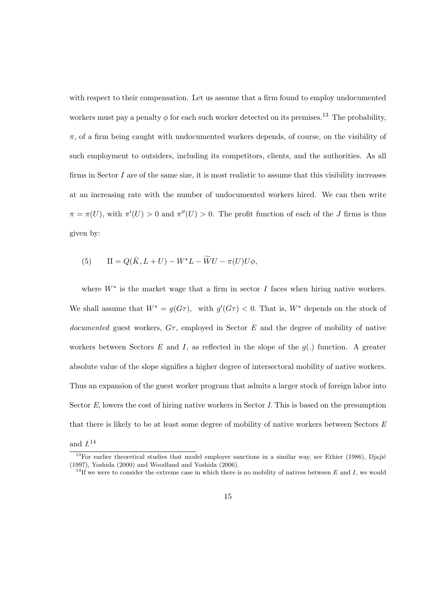with respect to their compensation. Let us assume that a firm found to employ undocumented workers must pay a penalty  $\phi$  for each such worker detected on its premises.<sup>13</sup> The probability, *π*, of a firm being caught with undocumented workers depends, of course, on the visibility of such employment to outsiders, including its competitors, clients, and the authorities. As all firms in Sector  $I$  are of the same size, it is most realistic to assume that this visibility increases at an increasing rate with the number of undocumented workers hired. We can then write  $\pi = \pi(U)$ , with  $\pi'(U) > 0$  and  $\pi''(U) > 0$ . The profit function of each of the *J* firms is thus given by:

(5) 
$$
\Pi = Q(\overline{K}, L+U) - W^*L - \widetilde{W}U - \pi(U)U\phi,
$$

where  $W^*$  is the market wage that a firm in sector *I* faces when hiring native workers. We shall assume that  $W^* = g(G\tau)$ , with  $g'(G\tau) < 0$ . That is,  $W^*$  depends on the stock of *documented* guest workers,  $G_{\tau}$ , employed in Sector  $E$  and the degree of mobility of native workers between Sectors  $E$  and  $I$ , as reflected in the slope of the  $g(.)$  function. A greater absolute value of the slope signifies a higher degree of intersectoral mobility of native workers. Thus an expansion of the guest worker program that admits a larger stock of foreign labor into Sector *E*, lowers the cost of hiring native workers in Sector *I*. This is based on the presumption that there is likely to be at least some degree of mobility of native workers between Sectors *E* and *I*. 14

 $13$ For earlier theoretical studies that model employer sanctions in a similar way, see Ethier (1986), Djajić (1997), Yoshida (2000) and Woodland and Yoshida (2006).

 $14$ If we were to consider the extreme case in which there is no mobility of natives between  $E$  and  $I$ , we would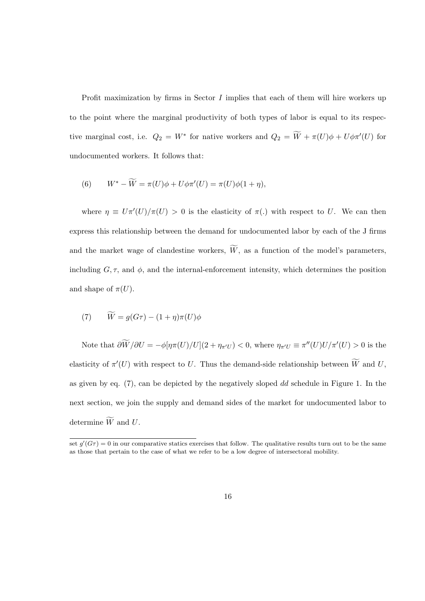Profit maximization by firms in Sector *I* implies that each of them will hire workers up to the point where the marginal productivity of both types of labor is equal to its respective marginal cost, i.e.  $Q_2 = W^*$  for native workers and  $Q_2 = W + \pi(U)\phi + U\phi\pi'(U)$  for undocumented workers. It follows that:

(6) 
$$
W^* - W = \pi(U)\phi + U\phi\pi'(U) = \pi(U)\phi(1 + \eta),
$$

where  $\eta \equiv U \pi'(U)/\pi(U) > 0$  is the elasticity of  $\pi(.)$  with respect to *U*. We can then express this relationship between the demand for undocumented labor by each of the J firms and the market wage of clandestine workers,  $\widetilde{W}$ , as a function of the model's parameters, including  $G, \tau$ , and  $\phi$ , and the internal-enforcement intensity, which determines the position and shape of  $\pi(U)$ .

(7) 
$$
\widetilde{W} = g(G\tau) - (1+\eta)\pi(U)\phi
$$

Note that  $\partial W/\partial U = -\phi[\eta \pi(U)/U](2 + \eta_{\pi'U}) < 0$ , where  $\eta_{\pi'U} \equiv \pi''(U)U/\pi'(U) > 0$  is the elasticity of  $\pi'(U)$  with respect to *U*. Thus the demand-side relationship between *W* and *U*, as given by eq. (7), can be depicted by the negatively sloped *dd* schedule in Figure 1. In the next section, we join the supply and demand sides of the market for undocumented labor to determine  $\widetilde{W}$  and *U*.

set  $g'(G\tau) = 0$  in our comparative statics exercises that follow. The qualitative results turn out to be the same as those that pertain to the case of what we refer to be a low degree of intersectoral mobility.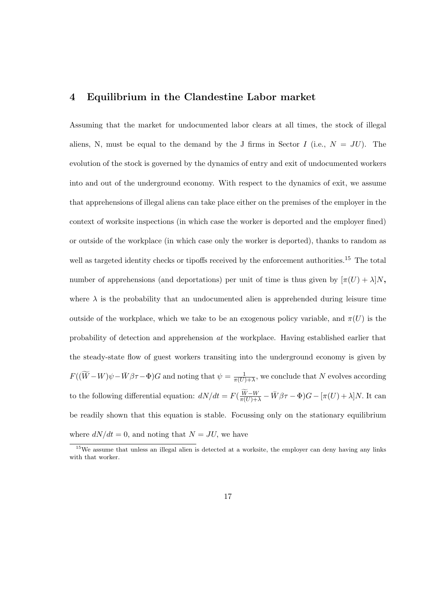# **4 Equilibrium in the Clandestine Labor market**

Assuming that the market for undocumented labor clears at all times, the stock of illegal aliens, N, must be equal to the demand by the J firms in Sector *I* (i.e.,  $N = JU$ ). The evolution of the stock is governed by the dynamics of entry and exit of undocumented workers into and out of the underground economy. With respect to the dynamics of exit, we assume that apprehensions of illegal aliens can take place either on the premises of the employer in the context of worksite inspections (in which case the worker is deported and the employer fined) or outside of the workplace (in which case only the worker is deported), thanks to random as well as targeted identity checks or tipoffs received by the enforcement authorities.<sup>15</sup> The total number of apprehensions (and deportations) per unit of time is thus given by  $[\pi(U) + \lambda]N$ , where  $\lambda$  is the probability that an undocumented alien is apprehended during leisure time outside of the workplace, which we take to be an exogenous policy variable, and  $\pi(U)$  is the probability of detection and apprehension *at* the workplace. Having established earlier that the steady-state flow of guest workers transiting into the underground economy is given by  $F((\widetilde{W}-W)\psi - \bar{W}\beta\tau - \Phi)G$  and noting that  $\psi = \frac{1}{\pi(U)}$  $\frac{1}{\pi(U)+\lambda}$ , we conclude that *N* evolves according to the following differential equation:  $dN/dt = F(\frac{\tilde{W}-W}{\pi(U)+\lambda} - \bar{W}\beta\tau - \Phi)G - [\pi(U)+\lambda]N$ . It can be readily shown that this equation is stable. Focussing only on the stationary equilibrium where  $dN/dt = 0$ , and noting that  $N = JU$ , we have

<sup>&</sup>lt;sup>15</sup>We assume that unless an illegal alien is detected at a worksite, the employer can deny having any links with that worker.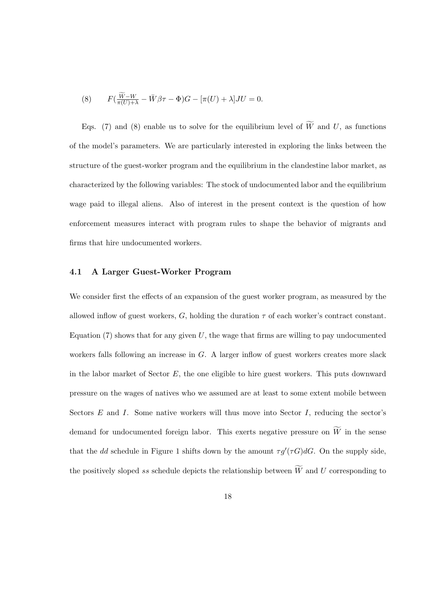(8) 
$$
F\left(\frac{\widetilde{W}-W}{\pi(U)+\lambda}-\overline{W}\beta\tau-\Phi\right)G-\left[\pi(U)+\lambda\right]JU=0.
$$

Eqs. (7) and (8) enable us to solve for the equilibrium level of  $\widetilde{W}$  and *U*, as functions of the model's parameters. We are particularly interested in exploring the links between the structure of the guest-worker program and the equilibrium in the clandestine labor market, as characterized by the following variables: The stock of undocumented labor and the equilibrium wage paid to illegal aliens. Also of interest in the present context is the question of how enforcement measures interact with program rules to shape the behavior of migrants and firms that hire undocumented workers.

## **4.1 A Larger Guest-Worker Program**

We consider first the effects of an expansion of the guest worker program, as measured by the allowed inflow of guest workers,  $G$ , holding the duration  $\tau$  of each worker's contract constant. Equation (7) shows that for any given *U*, the wage that firms are willing to pay undocumented workers falls following an increase in *G*. A larger inflow of guest workers creates more slack in the labor market of Sector *E*, the one eligible to hire guest workers. This puts downward pressure on the wages of natives who we assumed are at least to some extent mobile between Sectors *E* and *I*. Some native workers will thus move into Sector *I*, reducing the sector's demand for undocumented foreign labor. This exerts negative pressure on  $\widetilde{W}$  in the sense that the *dd* schedule in Figure 1 shifts down by the amount  $\tau g'(\tau G)dG$ . On the supply side, the positively sloped *ss* schedule depicts the relationship between  $\widetilde{W}$  and *U* corresponding to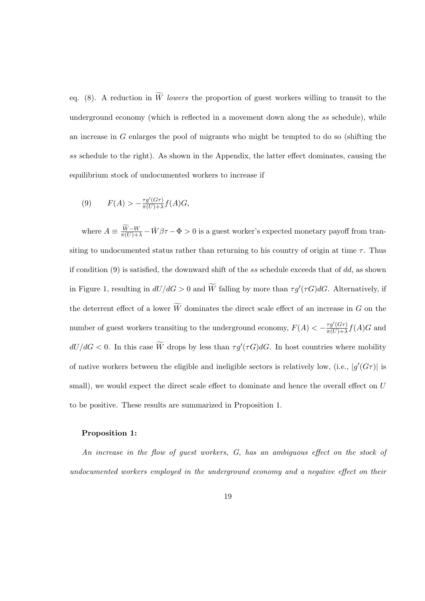eq. (8). A reduction in  $\widetilde{W}$  *lowers* the proportion of guest workers willing to transit to the underground economy (which is reflected in a movement down along the *ss* schedule), while an increase in *G* enlarges the pool of migrants who might be tempted to do so (shifting the *ss* schedule to the right). As shown in the Appendix, the latter effect dominates, causing the equilibrium stock of undocumented workers to increase if

(9) 
$$
F(A) > -\frac{\tau g'(G\tau)}{\pi(U)+\lambda}f(A)G,
$$

where  $A \equiv \frac{W-W}{\pi(U)+\lambda} - \bar{W}\beta\tau - \Phi > 0$  is a guest worker's expected monetary payoff from transiting to undocumented status rather than returning to his country of origin at time  $\tau$ . Thus if condition (9) is satisfied, the downward shift of the *ss* schedule exceeds that of *dd*, as shown in Figure 1, resulting in  $dU/dG > 0$  and *W* falling by more than  $\tau g'(\tau G)dG$ . Alternatively, if the deterrent effect of a lower  $\widetilde{W}$  dominates the direct scale effect of an increase in *G* on the number of guest workers transiting to the underground economy,  $F(A) < -\frac{\tau g'(G\tau)}{\tau(I)(1+\lambda)}$  $\frac{\tau g(G\tau)}{\pi(U)+\lambda}f(A)G$  and  $dU/dG < 0$ . In this case *W* drops by less than  $\tau g'(\tau G)dG$ . In host countries where mobility of native workers between the eligible and ineligible sectors is relatively low, (i.e.,  $|g'(G\tau)|$ ) is small), we would expect the direct scale effect to dominate and hence the overall effect on *U* to be positive. These results are summarized in Proposition 1.

#### **Proposition 1:**

*An increase in the flow of guest workers, G, has an ambiguous effect on the stock of undocumented workers employed in the underground economy and a negative effect on their*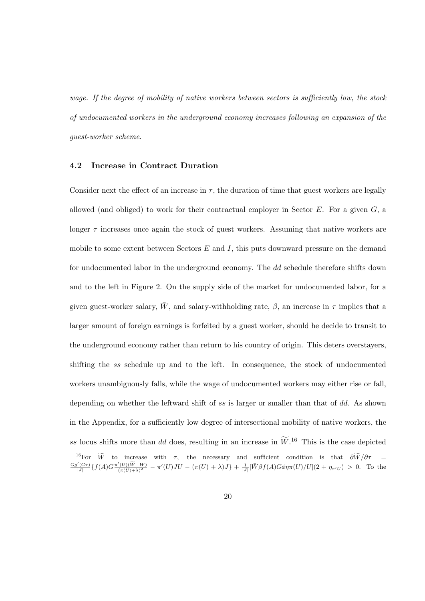*wage. If the degree of mobility of native workers between sectors is sufficiently low, the stock of undocumented workers in the underground economy increases following an expansion of the guest-worker scheme.*

#### **4.2 Increase in Contract Duration**

Consider next the effect of an increase in  $\tau$ , the duration of time that guest workers are legally allowed (and obliged) to work for their contractual employer in Sector *E*. For a given *G*, a longer  $\tau$  increases once again the stock of guest workers. Assuming that native workers are mobile to some extent between Sectors *E* and *I*, this puts downward pressure on the demand for undocumented labor in the underground economy. The *dd* schedule therefore shifts down and to the left in Figure 2. On the supply side of the market for undocumented labor, for a given guest-worker salary, *W*, and salary-withholding rate,  $\beta$ , an increase in  $\tau$  implies that a larger amount of foreign earnings is forfeited by a guest worker, should he decide to transit to the underground economy rather than return to his country of origin. This deters overstayers, shifting the *ss* schedule up and to the left. In consequence, the stock of undocumented workers unambiguously falls, while the wage of undocumented workers may either rise or fall, depending on whether the leftward shift of *ss* is larger or smaller than that of *dd*. As shown in the Appendix, for a sufficiently low degree of intersectional mobility of native workers, the ss locus shifts more than *dd* does, resulting in an increase in  $\tilde{W}$ <sup>16</sup>. This is the case depicted

<sup>&</sup>lt;sup>16</sup>For  $\widetilde{W}$  to increase with  $\tau$ , the necessary and sufficient condition is that  $\frac{\partial \widetilde{W}}{\partial \tau} = \frac{Gg'(G\tau)}{|J|} \{f(A)G\frac{\pi'(U)(\widetilde{W}-W)}{(\pi(U)+\lambda)^2} - \pi'(U)JU - (\pi(U)+\lambda)J\} + \frac{1}{|J|}[\bar{W}\beta f(A)G\phi\eta\pi(U)/U](2+\eta_{\pi'(U)}) > 0.$  To th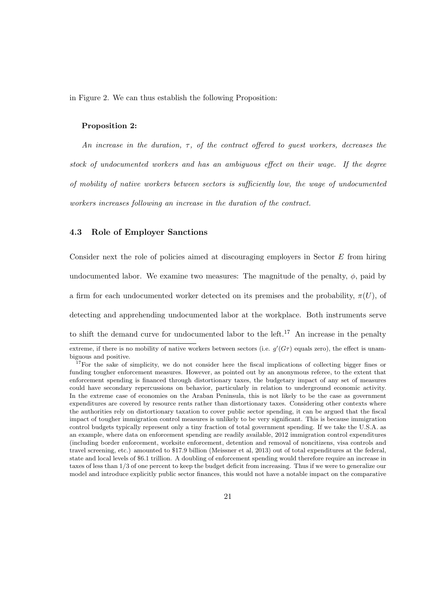in Figure 2. We can thus establish the following Proposition:

#### **Proposition 2:**

*An increase in the duration, τ , of the contract offered to guest workers, decreases the stock of undocumented workers and has an ambiguous effect on their wage. If the degree of mobility of native workers between sectors is sufficiently low, the wage of undocumented workers increases following an increase in the duration of the contract.*

## **4.3 Role of Employer Sanctions**

Consider next the role of policies aimed at discouraging employers in Sector *E* from hiring undocumented labor. We examine two measures: The magnitude of the penalty,  $\phi$ , paid by a firm for each undocumented worker detected on its premises and the probability,  $\pi(U)$ , of detecting and apprehending undocumented labor at the workplace. Both instruments serve to shift the demand curve for undocumented labor to the left.<sup>17</sup> An increase in the penalty

extreme, if there is no mobility of native workers between sectors (i.e.  $g'(G\tau)$  equals zero), the effect is unambiguous and positive.

 $17$ For the sake of simplicity, we do not consider here the fiscal implications of collecting bigger fines or funding tougher enforcement measures. However, as pointed out by an anonymous referee, to the extent that enforcement spending is financed through distortionary taxes, the budgetary impact of any set of measures could have secondary repercussions on behavior, particularly in relation to underground economic activity. In the extreme case of economies on the Araban Peninsula, this is not likely to be the case as government expenditures are covered by resource rents rather than distortionary taxes. Considering other contexts where the authorities rely on distortionary taxation to cover public sector spending, it can be argued that the fiscal impact of tougher immigration control measures is unlikely to be very significant. This is because immigration control budgets typically represent only a tiny fraction of total government spending. If we take the U.S.A. as an example, where data on enforcement spending are readily available, 2012 immigration control expenditures (including border enforcement, worksite enforcement, detention and removal of noncitizens, visa controls and travel screening, etc.) amounted to \$17.9 billion (Meissner et al, 2013) out of total expenditures at the federal, state and local levels of \$6.1 trillion. A doubling of enforcement spending would therefore require an increase in taxes of less than 1/3 of one percent to keep the budget deficit from increasing. Thus if we were to generalize our model and introduce explicitly public sector finances, this would not have a notable impact on the comparative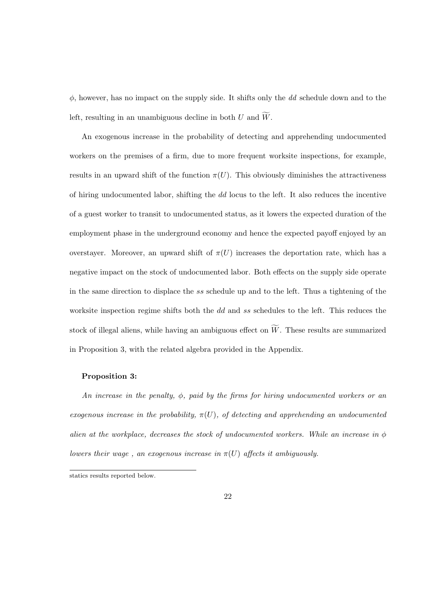*ϕ*, however, has no impact on the supply side. It shifts only the *dd* schedule down and to the left, resulting in an unambiguous decline in both *U* and  $\widetilde{W}$ .

An exogenous increase in the probability of detecting and apprehending undocumented workers on the premises of a firm, due to more frequent worksite inspections, for example, results in an upward shift of the function  $\pi(U)$ . This obviously diminishes the attractiveness of hiring undocumented labor, shifting the *dd* locus to the left. It also reduces the incentive of a guest worker to transit to undocumented status, as it lowers the expected duration of the employment phase in the underground economy and hence the expected payoff enjoyed by an overstayer. Moreover, an upward shift of  $\pi(U)$  increases the deportation rate, which has a negative impact on the stock of undocumented labor. Both effects on the supply side operate in the same direction to displace the *ss* schedule up and to the left. Thus a tightening of the worksite inspection regime shifts both the *dd* and *ss* schedules to the left. This reduces the stock of illegal aliens, while having an ambiguous effect on  $\widetilde{W}$ . These results are summarized in Proposition 3, with the related algebra provided in the Appendix.

#### **Proposition 3:**

*An increase in the penalty, ϕ, paid by the firms for hiring undocumented workers or an exogenous increase in the probability,*  $\pi(U)$ *, of detecting and apprehending an undocumented alien at the workplace, decreases the stock of undocumented workers. While an increase in ϕ lowers their wage, an exogenous increase in*  $\pi(U)$  *affects it ambiguously.* 

statics results reported below.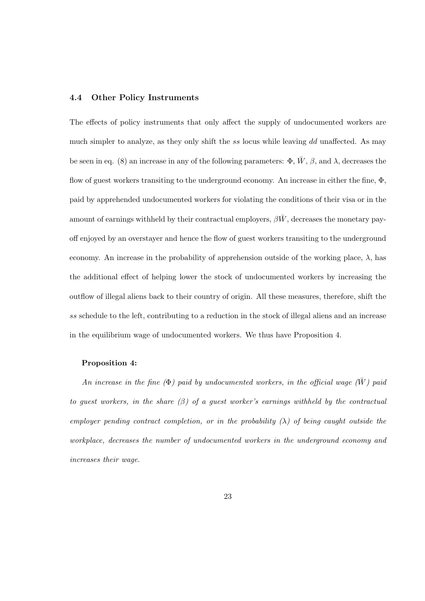## **4.4 Other Policy Instruments**

The effects of policy instruments that only affect the supply of undocumented workers are much simpler to analyze, as they only shift the *ss* locus while leaving *dd* unaffected. As may be seen in eq. (8) an increase in any of the following parameters:  $\Phi$ ,  $\bar{W}$ ,  $\beta$ , and  $\lambda$ , decreases the flow of guest workers transiting to the underground economy. An increase in either the fine, Φ, paid by apprehended undocumented workers for violating the conditions of their visa or in the amount of earnings withheld by their contractual employers,  $\beta \bar{W}$ , decreases the monetary payoff enjoyed by an overstayer and hence the flow of guest workers transiting to the underground economy. An increase in the probability of apprehension outside of the working place, *λ*, has the additional effect of helping lower the stock of undocumented workers by increasing the outflow of illegal aliens back to their country of origin. All these measures, therefore, shift the *ss* schedule to the left, contributing to a reduction in the stock of illegal aliens and an increase in the equilibrium wage of undocumented workers. We thus have Proposition 4.

#### **Proposition 4:**

*An increase in the fine (* $\Phi$ *) paid by undocumented workers, in the official wage (* $\overline{W}$ *) paid to guest workers, in the share (β) of a guest worker's earnings withheld by the contractual employer pending contract completion, or in the probability*  $(\lambda)$  *of being caught outside the workplace, decreases the number of undocumented workers in the underground economy and increases their wage.*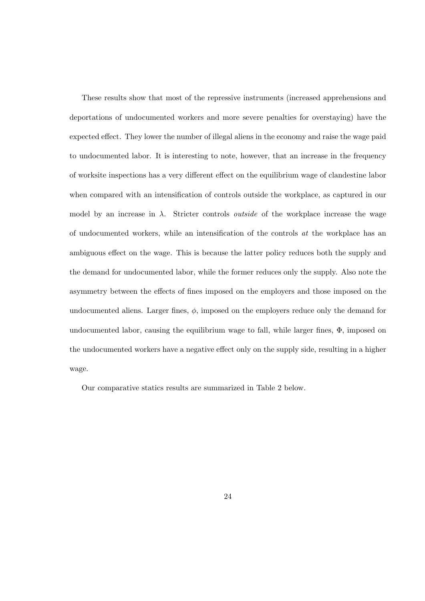These results show that most of the repressive instruments (increased apprehensions and deportations of undocumented workers and more severe penalties for overstaying) have the expected effect. They lower the number of illegal aliens in the economy and raise the wage paid to undocumented labor. It is interesting to note, however, that an increase in the frequency of worksite inspections has a very different effect on the equilibrium wage of clandestine labor when compared with an intensification of controls outside the workplace, as captured in our model by an increase in *λ*. Stricter controls *outside* of the workplace increase the wage of undocumented workers, while an intensification of the controls *at* the workplace has an ambiguous effect on the wage. This is because the latter policy reduces both the supply and the demand for undocumented labor, while the former reduces only the supply. Also note the asymmetry between the effects of fines imposed on the employers and those imposed on the undocumented aliens. Larger fines, *ϕ*, imposed on the employers reduce only the demand for undocumented labor, causing the equilibrium wage to fall, while larger fines, Φ*,* imposed on the undocumented workers have a negative effect only on the supply side, resulting in a higher wage.

Our comparative statics results are summarized in Table 2 below.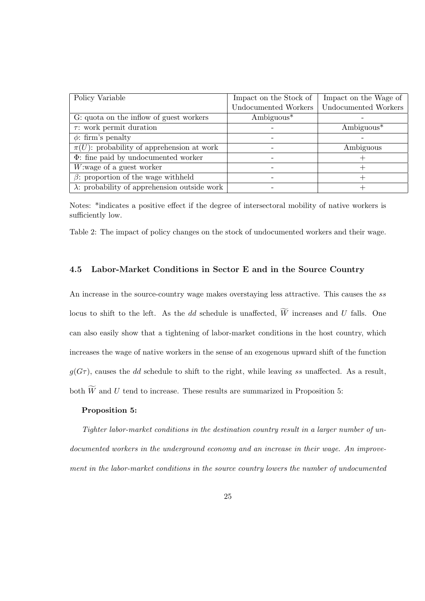| Policy Variable                                      | Impact on the Stock of | Impact on the Wage of  |  |
|------------------------------------------------------|------------------------|------------------------|--|
|                                                      | Undocumented Workers   | Undocumented Workers   |  |
| G: quota on the inflow of guest workers              | Ambiguous $*$          |                        |  |
| $\tau$ : work permit duration                        |                        | Ambiguous <sup>*</sup> |  |
| $\phi$ : firm's penalty                              |                        |                        |  |
| $\pi(U)$ : probability of apprehension at work       |                        | Ambiguous              |  |
| $\Phi$ : fine paid by undocumented worker            |                        |                        |  |
| $W:$ wage of a guest worker                          |                        |                        |  |
| $\beta$ : proportion of the wage withheld            |                        |                        |  |
| $\lambda$ : probability of apprehension outside work |                        |                        |  |

Notes: \*indicates a positive effect if the degree of intersectoral mobility of native workers is sufficiently low.

Table 2: The impact of policy changes on the stock of undocumented workers and their wage.

## **4.5 Labor-Market Conditions in Sector E and in the Source Country**

An increase in the source-country wage makes overstaying less attractive. This causes the *ss* locus to shift to the left. As the *dd* schedule is unaffected,  $\widetilde{W}$  increases and *U* falls. One can also easily show that a tightening of labor-market conditions in the host country, which increases the wage of native workers in the sense of an exogenous upward shift of the function  $g(G\tau)$ , causes the *dd* schedule to shift to the right, while leaving *ss* unaffected. As a result, both  $\widetilde{W}$  and *U* tend to increase. These results are summarized in Proposition 5:

#### **Proposition 5:**

*Tighter labor-market conditions in the destination country result in a larger number of undocumented workers in the underground economy and an increase in their wage. An improvement in the labor-market conditions in the source country lowers the number of undocumented*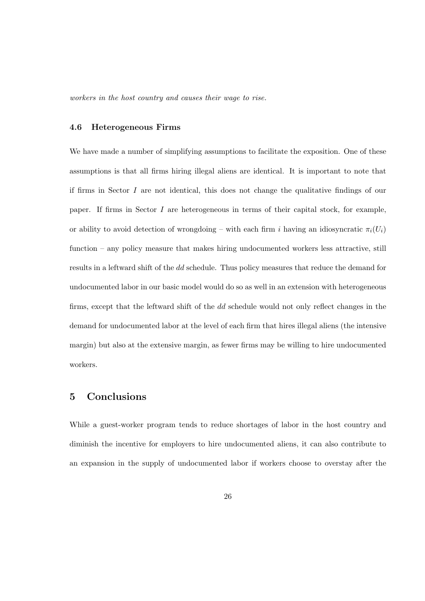*workers in the host country and causes their wage to rise.*

#### **4.6 Heterogeneous Firms**

We have made a number of simplifying assumptions to facilitate the exposition. One of these assumptions is that all firms hiring illegal aliens are identical. It is important to note that if firms in Sector *I* are not identical, this does not change the qualitative findings of our paper. If firms in Sector *I* are heterogeneous in terms of their capital stock, for example, or ability to avoid detection of wrongdoing – with each firm *i* having an idiosyncratic  $\pi_i(U_i)$ function – any policy measure that makes hiring undocumented workers less attractive, still results in a leftward shift of the *dd* schedule. Thus policy measures that reduce the demand for undocumented labor in our basic model would do so as well in an extension with heterogeneous firms, except that the leftward shift of the *dd* schedule would not only reflect changes in the demand for undocumented labor at the level of each firm that hires illegal aliens (the intensive margin) but also at the extensive margin, as fewer firms may be willing to hire undocumented workers.

## **5 Conclusions**

While a guest-worker program tends to reduce shortages of labor in the host country and diminish the incentive for employers to hire undocumented aliens, it can also contribute to an expansion in the supply of undocumented labor if workers choose to overstay after the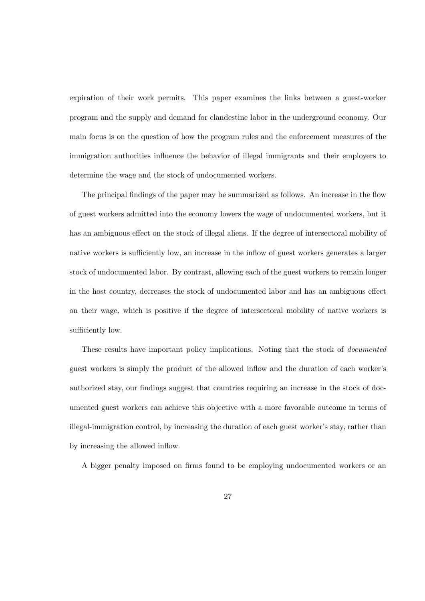expiration of their work permits. This paper examines the links between a guest-worker program and the supply and demand for clandestine labor in the underground economy. Our main focus is on the question of how the program rules and the enforcement measures of the immigration authorities influence the behavior of illegal immigrants and their employers to determine the wage and the stock of undocumented workers.

The principal findings of the paper may be summarized as follows. An increase in the flow of guest workers admitted into the economy lowers the wage of undocumented workers, but it has an ambiguous effect on the stock of illegal aliens. If the degree of intersectoral mobility of native workers is sufficiently low, an increase in the inflow of guest workers generates a larger stock of undocumented labor. By contrast, allowing each of the guest workers to remain longer in the host country, decreases the stock of undocumented labor and has an ambiguous effect on their wage, which is positive if the degree of intersectoral mobility of native workers is sufficiently low.

These results have important policy implications. Noting that the stock of *documented* guest workers is simply the product of the allowed inflow and the duration of each worker's authorized stay, our findings suggest that countries requiring an increase in the stock of documented guest workers can achieve this objective with a more favorable outcome in terms of illegal-immigration control, by increasing the duration of each guest worker's stay, rather than by increasing the allowed inflow.

A bigger penalty imposed on firms found to be employing undocumented workers or an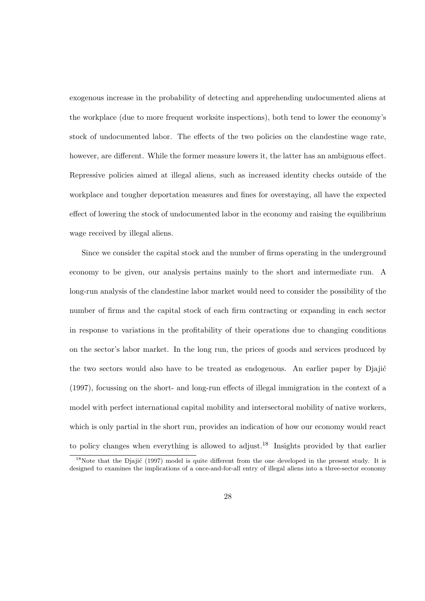exogenous increase in the probability of detecting and apprehending undocumented aliens at the workplace (due to more frequent worksite inspections), both tend to lower the economy's stock of undocumented labor. The effects of the two policies on the clandestine wage rate, however, are different. While the former measure lowers it, the latter has an ambiguous effect. Repressive policies aimed at illegal aliens, such as increased identity checks outside of the workplace and tougher deportation measures and fines for overstaying, all have the expected effect of lowering the stock of undocumented labor in the economy and raising the equilibrium wage received by illegal aliens.

Since we consider the capital stock and the number of firms operating in the underground economy to be given, our analysis pertains mainly to the short and intermediate run. A long-run analysis of the clandestine labor market would need to consider the possibility of the number of firms and the capital stock of each firm contracting or expanding in each sector in response to variations in the profitability of their operations due to changing conditions on the sector's labor market. In the long run, the prices of goods and services produced by the two sectors would also have to be treated as endogenous. An earlier paper by Djajić (1997), focussing on the short- and long-run effects of illegal immigration in the context of a model with perfect international capital mobility and intersectoral mobility of native workers, which is only partial in the short run, provides an indication of how our economy would react to policy changes when everything is allowed to adjust.<sup>18</sup> Insights provided by that earlier

 $18$ Note that the Djajić (1997) model is quite different from the one developed in the present study. It is designed to examines the implications of a once-and-for-all entry of illegal aliens into a three-sector economy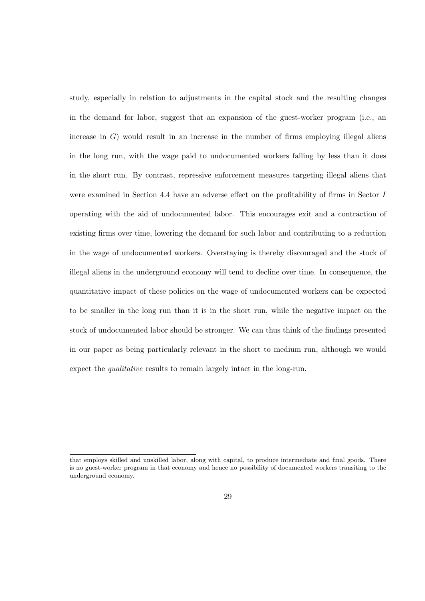study, especially in relation to adjustments in the capital stock and the resulting changes in the demand for labor, suggest that an expansion of the guest-worker program (i.e., an increase in  $G$ ) would result in an increase in the number of firms employing illegal aliens in the long run, with the wage paid to undocumented workers falling by less than it does in the short run. By contrast, repressive enforcement measures targeting illegal aliens that were examined in Section 4.4 have an adverse effect on the profitability of firms in Sector *I* operating with the aid of undocumented labor. This encourages exit and a contraction of existing firms over time, lowering the demand for such labor and contributing to a reduction in the wage of undocumented workers. Overstaying is thereby discouraged and the stock of illegal aliens in the underground economy will tend to decline over time. In consequence, the quantitative impact of these policies on the wage of undocumented workers can be expected to be smaller in the long run than it is in the short run, while the negative impact on the stock of undocumented labor should be stronger. We can thus think of the findings presented in our paper as being particularly relevant in the short to medium run, although we would expect the *qualitative* results to remain largely intact in the long-run.

that employs skilled and unskilled labor, along with capital, to produce intermediate and final goods. There is no guest-worker program in that economy and hence no possibility of documented workers transiting to the underground economy.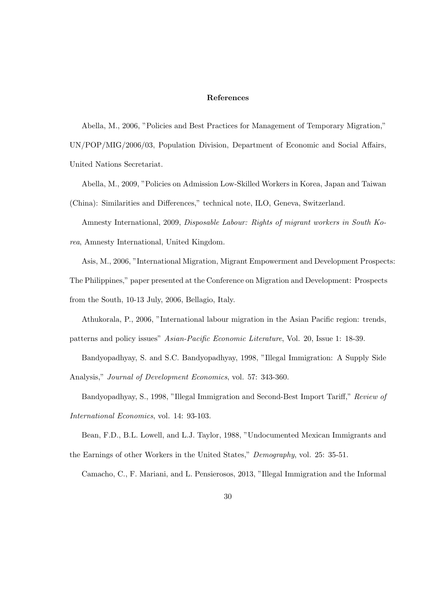### **References**

Abella, M., 2006, "Policies and Best Practices for Management of Temporary Migration," UN/POP/MIG/2006/03, Population Division, Department of Economic and Social Affairs, United Nations Secretariat.

Abella, M., 2009, "Policies on Admission Low-Skilled Workers in Korea, Japan and Taiwan (China): Similarities and Differences," technical note, ILO, Geneva, Switzerland.

Amnesty International, 2009, *Disposable Labour: Rights of migrant workers in South Korea*, Amnesty International, United Kingdom.

Asis, M., 2006, "International Migration, Migrant Empowerment and Development Prospects:

The Philippines," paper presented at the Conference on Migration and Development: Prospects from the South, 10-13 July, 2006, Bellagio, Italy.

Athukorala, P., 2006, "International labour migration in the Asian Pacific region: trends, patterns and policy issues" *Asian-Pacific Economic Literature*, Vol. 20, Issue 1: 18-39.

Bandyopadhyay, S. and S.C. Bandyopadhyay, 1998, "Illegal Immigration: A Supply Side Analysis," *Journal of Development Economics*, vol. 57: 343-360.

Bandyopadhyay, S., 1998, "Illegal Immigration and Second-Best Import Tariff," *Review of International Economics*, vol. 14: 93-103.

Bean, F.D., B.L. Lowell, and L.J. Taylor, 1988, "Undocumented Mexican Immigrants and the Earnings of other Workers in the United States," *Demography*, vol. 25: 35-51.

Camacho, C., F. Mariani, and L. Pensierosos, 2013, "Illegal Immigration and the Informal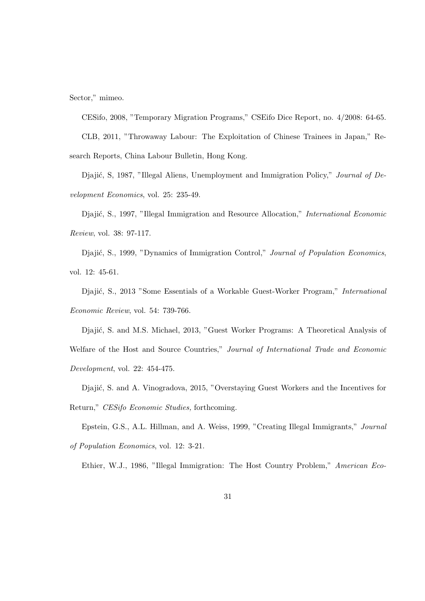Sector," mimeo.

CESifo, 2008, "Temporary Migration Programs," CSEifo Dice Report, no. 4/2008: 64-65.

CLB, 2011, "Throwaway Labour: The Exploitation of Chinese Trainees in Japan," Research Reports, China Labour Bulletin, Hong Kong.

Djajić, S, 1987, "Illegal Aliens, Unemployment and Immigration Policy," *Journal of Development Economics*, vol. 25: 235-49.

Djaji´c, S., 1997, "Illegal Immigration and Resource Allocation," *International Economic Review*, vol. 38: 97-117.

Djajić, S., 1999, "Dynamics of Immigration Control," *Journal of Population Economics*, vol. 12: 45-61.

Djajić, S., 2013 "Some Essentials of a Workable Guest-Worker Program," *International Economic Review*, vol. 54: 739-766.

Djajić, S. and M.S. Michael, 2013, "Guest Worker Programs: A Theoretical Analysis of Welfare of the Host and Source Countries," *Journal of International Trade and Economic Development*, vol. 22: 454-475.

Djajić, S. and A. Vinogradova, 2015, "Overstaying Guest Workers and the Incentives for Return," *CESifo Economic Studies,* forthcoming.

Epstein, G.S., A.L. Hillman, and A. Weiss, 1999, "Creating Illegal Immigrants," *Journal of Population Economics*, vol. 12: 3-21.

Ethier, W.J., 1986, "Illegal Immigration: The Host Country Problem," *American Eco-*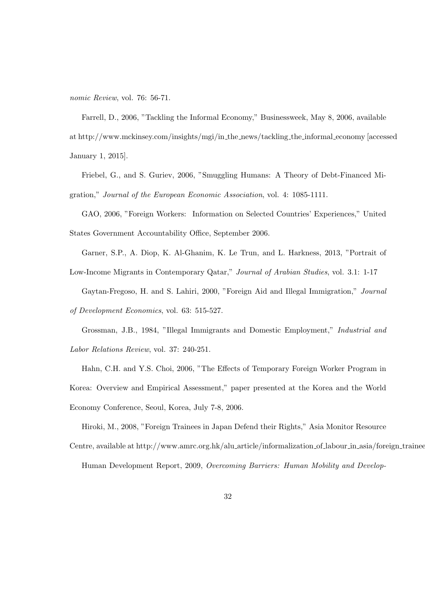*nomic Review*, vol. 76: 56-71.

Farrell, D., 2006, "Tackling the Informal Economy," Businessweek, May 8, 2006, available at http://www.mckinsey.com/insights/mgi/in the news/tackling the informal economy [accessed January 1, 2015].

Friebel, G., and S. Guriev, 2006, "Smuggling Humans: A Theory of Debt-Financed Migration," *Journal of the European Economic Association*, vol. 4: 1085-1111.

GAO, 2006, "Foreign Workers: Information on Selected Countries' Experiences," United States Government Accountability Office, September 2006.

Garner, S.P., A. Diop, K. Al-Ghanim, K. Le Trun, and L. Harkness, 2013, "Portrait of Low-Income Migrants in Contemporary Qatar," *Journal of Arabian Studies*, vol. 3.1: 1-17

Gaytan-Fregoso, H. and S. Lahiri, 2000, "Foreign Aid and Illegal Immigration," *Journal of Development Economics*, vol. 63: 515-527.

Grossman, J.B., 1984, "Illegal Immigrants and Domestic Employment," *Industrial and Labor Relations Review*, vol. 37: 240-251.

Hahn, C.H. and Y.S. Choi, 2006, "The Effects of Temporary Foreign Worker Program in

Korea: Overview and Empirical Assessment," paper presented at the Korea and the World

Economy Conference, Seoul, Korea, July 7-8, 2006.

Hiroki, M., 2008, "Foreign Trainees in Japan Defend their Rights," Asia Monitor Resource

Centre, available at http://www.amrc.org.hk/alu\_article/informalization\_of\_labour\_in\_asia/foreign\_trainees

Human Development Report, 2009, *Overcoming Barriers: Human Mobility and Develop-*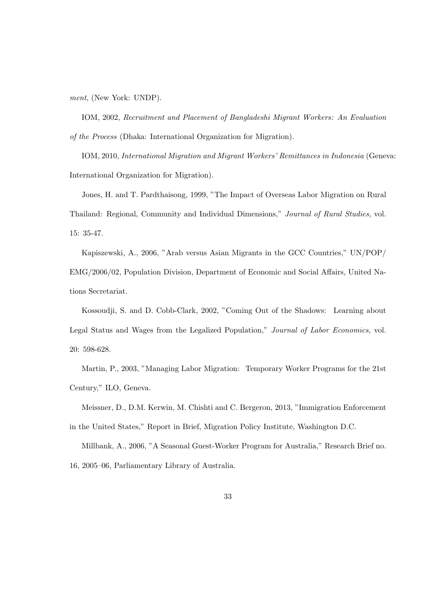*ment*, (New York: UNDP).

IOM, 2002, *Recruitment and Placement of Bangladeshi Migrant Workers: An Evaluation of the Process* (Dhaka: International Organization for Migration).

IOM, 2010, *International Migration and Migrant Workers' Remittances in Indonesia* (Geneva: International Organization for Migration).

Jones, H. and T. Pardthaisong, 1999, "The Impact of Overseas Labor Migration on Rural Thailand: Regional, Community and Individual Dimensions," *Journal of Rural Studies*, vol. 15: 35-47.

Kapiszewski, A., 2006, "Arab versus Asian Migrants in the GCC Countries," UN/POP/ EMG/2006/02, Population Division, Department of Economic and Social Affairs, United Nations Secretariat.

Kossoudji, S. and D. Cobb-Clark, 2002, "Coming Out of the Shadows: Learning about Legal Status and Wages from the Legalized Population," *Journal of Labor Economics*, vol. 20: 598-628.

Martin, P., 2003, "Managing Labor Migration: Temporary Worker Programs for the 21st Century," ILO, Geneva.

Meissner, D., D.M. Kerwin, M. Chishti and C. Bergeron, 2013, "Immigration Enforcement

in the United States," Report in Brief, Migration Policy Institute, Washington D.C.

Millbank, A., 2006, "A Seasonal Guest-Worker Program for Australia," Research Brief no. 16, 2005–06, Parliamentary Library of Australia.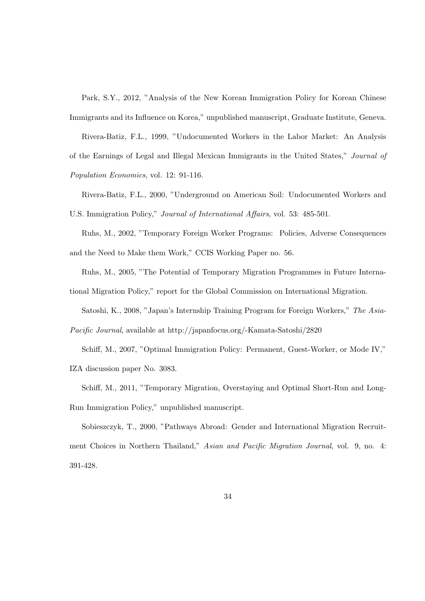Park, S.Y., 2012, "Analysis of the New Korean Immigration Policy for Korean Chinese Immigrants and its Influence on Korea," unpublished manuscript, Graduate Institute, Geneva.

Rivera-Batiz, F.L., 1999, "Undocumented Workers in the Labor Market: An Analysis of the Earnings of Legal and Illegal Mexican Immigrants in the United States," *Journal of Population Economics*, vol. 12: 91-116.

Rivera-Batiz, F.L., 2000, "Underground on American Soil: Undocumented Workers and U.S. Immigration Policy," *Journal of International Affairs*, vol. 53: 485-501.

Ruhs, M., 2002, "Temporary Foreign Worker Programs: Policies, Adverse Consequences and the Need to Make them Work," CCIS Working Paper no. 56.

Ruhs, M., 2005, "The Potential of Temporary Migration Programmes in Future International Migration Policy," report for the Global Commission on International Migration.

Satoshi, K., 2008, "Japan's Internship Training Program for Foreign Workers," *The Asia-Pacific Journal*, available at http://japanfocus.org/-Kamata-Satoshi/2820

Schiff, M., 2007, "Optimal Immigration Policy: Permanent, Guest-Worker, or Mode IV," IZA discussion paper No. 3083.

Schiff, M., 2011, "Temporary Migration, Overstaying and Optimal Short-Run and Long-

Run Immigration Policy," unpublished manuscript.

Sobieszczyk, T., 2000, "Pathways Abroad: Gender and International Migration Recruitment Choices in Northern Thailand," *Asian and Pacific Migration Journal*, vol. 9, no. 4: 391-428.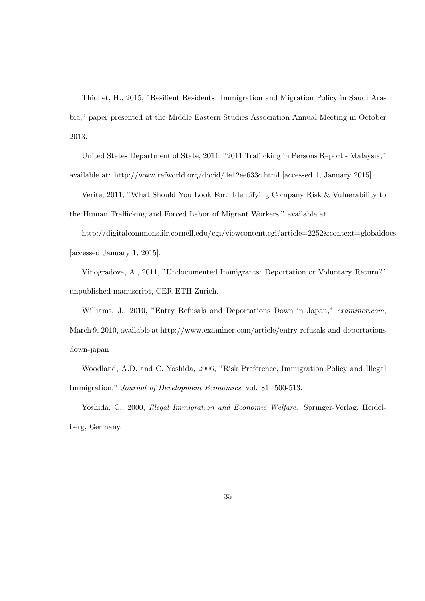Thiollet, H., 2015, "Resilient Residents: Immigration and Migration Policy in Saudi Arabia," paper presented at the Middle Eastern Studies Association Annual Meeting in October 2013.

United States Department of State, 2011, "2011 Trafficking in Persons Report - Malaysia," available at: http://www.refworld.org/docid/4e12ee633c.html [accessed 1, January 2015].

Verite, 2011, "What Should You Look For? Identifying Company Risk & Vulnerability to the Human Trafficking and Forced Labor of Migrant Workers," available at

http://digitalcommons.ilr.cornell.edu/cgi/viewcontent.cgi?article=2252&context=globaldocs [accessed January 1, 2015].

Vinogradova, A., 2011, "Undocumented Immigrants: Deportation or Voluntary Return?" unpublished manuscript, CER-ETH Zurich.

Williams, J., 2010, "Entry Refusals and Deportations Down in Japan," *examiner.com*, March 9, 2010, available at http://www.examiner.com/article/entry-refusals-and-deportationsdown-japan

Woodland, A.D. and C. Yoshida, 2006, "Risk Preference, Immigration Policy and Illegal Immigration," *Journal of Development Economics*, vol. 81: 500-513.

Yoshida, C., 2000, *Illegal Immigration and Economic Welfare*. Springer-Verlag, Heidelberg, Germany.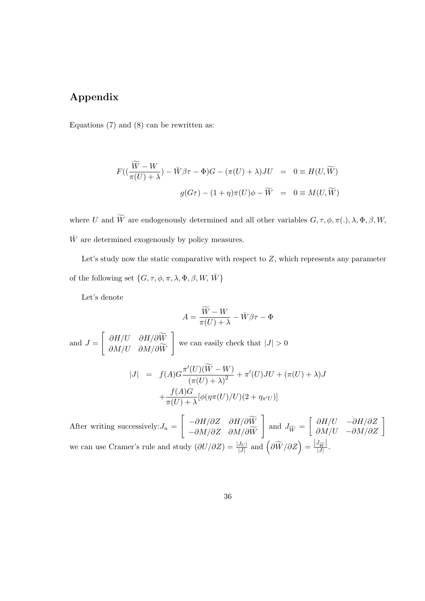# **Appendix**

Equations (7) and (8) can be rewritten as:

$$
F((\frac{\widetilde{W} - W}{\pi(U) + \lambda}) - \bar{W}\beta\tau - \Phi)G - (\pi(U) + \lambda)JU = 0 \equiv H(U, \widetilde{W})
$$

$$
g(G\tau) - (1 + \eta)\pi(U)\phi - \widetilde{W} = 0 \equiv M(U, \widetilde{W})
$$

where *U* and  $\widetilde{W}$  are endogenously determined and all other variables  $G, \tau, \phi, \pi(.)$ ,  $\lambda, \Phi, \beta, W$ ,  $\bar{W}$  are determined exogenously by policy measures.

Let's study now the static comparative with respect to *Z*, which represents any parameter of the following set  $\{G, \tau, \phi, \pi, \lambda, \Phi, \beta, W, \, \bar{W} \}$ 

Let's denote

$$
A = \frac{\widetilde{W} - W}{\pi(U) + \lambda} - \bar{W}\beta\tau - \Phi
$$

and 
$$
J = \begin{bmatrix} \frac{\partial H}{U} & \frac{\partial H}{\partial W} \\ \frac{\partial M}{U} & \frac{\partial M}{\partial W} \end{bmatrix}
$$
 we can easily check that  $|J| > 0$   
\n
$$
|J| = f(A)G\frac{\pi'(U)(\widetilde{W} - W)}{(\pi(U) + \lambda)^2} + \pi'(U)JU + (\pi(U) + \lambda)J + \frac{f(A)G}{\pi(U) + \lambda}[\phi(\eta \pi(U)/U)(2 + \eta_{\pi'U})]
$$

After writing successively: $J_u =$ [ *−∂H/∂Z ∂H/∂W*f *−∂M/∂Z ∂M/∂W*f ] and  $J_{\widetilde{W}} =$ [ *∂H/U −∂H/∂Z ∂M/U <sup>−</sup>∂M/∂Z* ] we can use Cramer's rule and study  $(\partial U/\partial Z) = \frac{|J_U|}{|J|}$  and  $(\partial \widetilde{W}/\partial Z) = \frac{|J_{\widetilde{W}}|}{|J|}$  $\frac{y_{\tilde{W}}}{|J|}$ .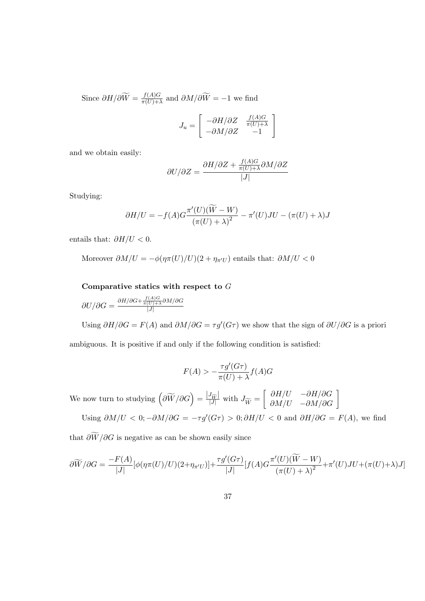Since  $\partial H / \partial \widetilde{W} = \frac{f(A)G}{\pi(U)+\lambda}$  $\frac{J(A)G}{\pi(U)+\lambda}$  and  $\partial M/\partial W = -1$  we find

$$
J_u = \begin{bmatrix} -\partial H/\partial Z & \frac{f(A)G}{\pi(U)+\lambda} \\ -\partial M/\partial Z & -1 \end{bmatrix}
$$

and we obtain easily:

$$
\frac{\partial U}{\partial Z} = \frac{\partial H}{\partial Z} + \frac{f(A)G}{\pi(U) + \lambda} \frac{\partial M}{\partial Z} \frac{\partial L}{\partial Z}
$$

Studying:

$$
\partial H/U = -f(A)G \frac{\pi'(U)(\widetilde{W} - W)}{(\pi(U) + \lambda)^2} - \pi'(U)JU - (\pi(U) + \lambda)J
$$

entails that:  $\partial H/U < 0$ .

Moreover  $\partial M/U = -\phi(\eta \pi(U)/U)(2 + \eta_{\pi'U})$  entails that:  $\partial M/U < 0$ 

**Comparative statics with respect to** *G*

$$
\partial U/\partial G = \frac{\partial H/\partial G + \frac{f(A)G}{\pi(U)+\lambda} \partial M/\partial G}{|J|}
$$

Using  $\partial H/\partial G = F(A)$  and  $\partial M/\partial G = \tau g'(G\tau)$  we show that the sign of  $\partial U/\partial G$  is a priori

ambiguous. It is positive if and only if the following condition is satisfied:

$$
F(A) > -\frac{\tau g'(G\tau)}{\pi(U) + \lambda} f(A)G
$$

We now turn to studying  $\left(\frac{\partial \widetilde{W}}{\partial G}\right) = \frac{|J_{\widetilde{W}}|}{|J|}$  with  $J_{\widetilde{W}} =$ [ *∂H/U −∂H/∂G ∂M/U <sup>−</sup>∂M/∂G* ]

Using 
$$
\partial M/U < 0
$$
;  $-\partial M/\partial G = -\tau g'(G\tau) > 0$ ;  $\partial H/U < 0$  and  $\partial H/\partial G = F(A)$ , we find

that  $\partial \widetilde{W}/\partial G$  is negative as can be shown easily since

$$
\partial \widetilde{W}/\partial G = \frac{-F(A)}{|J|} [\phi(\eta \pi(U)/U)(2 + \eta_{\pi'U})] + \frac{\tau g'(G\tau)}{|J|} [f(A)G\frac{\pi'(U)(\widetilde{W} - W)}{(\pi(U) + \lambda)^2} + \pi'(U)JU + (\pi(U) + \lambda)J]
$$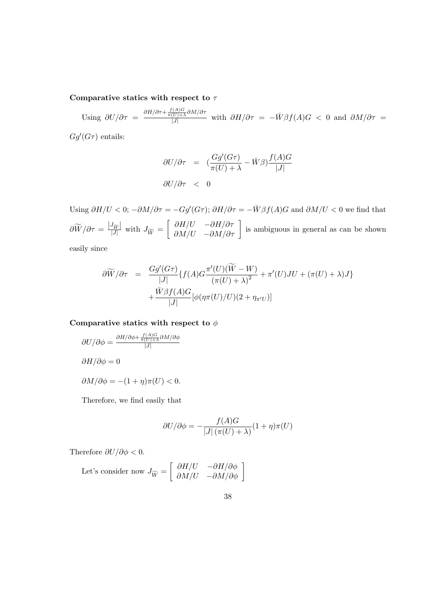**Comparative statics with respect to** *τ*

Using  $\partial U/\partial \tau = \frac{\partial H/\partial \tau + \frac{f(A)G}{\pi(U)+\lambda} \partial M/\partial \tau}{|J|}$  with  $\partial H/\partial \tau = -\overline{W}\beta f(A)G < 0$  and  $\partial M/\partial \tau =$ 

 $Gg'(G\tau)$  entails:

$$
\begin{array}{lcl} \partial U/\partial \tau & = & (\displaystyle{\frac{Gg'(G\tau)}{\pi(U)+\lambda}}-\bar{W}\beta)\displaystyle{\frac{f(A)G}{|J|}} \\[12pt] \partial U/\partial \tau & < & 0 \end{array}
$$

Using  $\partial H/U < 0$ ;  $-\partial M/\partial \tau = -Gg'(G\tau)$ ;  $\partial H/\partial \tau = -\overline{W}\beta f(A)G$  and  $\partial M/U < 0$  we find that  $\partial \widetilde{W}/\partial \tau = \frac{|J_{\widetilde{W}}|}{|J|}$  with  $J_{\widetilde{W}} =$  $\begin{bmatrix} \frac{\partial H}{U} & -\frac{\partial H}{\partial \tau} \\ \frac{\partial M}{U} & -\frac{\partial M}{\partial \tau} \end{bmatrix}$  is ambiguous in general as can be shown

easily since

$$
\partial \widetilde{W}/\partial \tau = \frac{Gg'(G\tau)}{|J|} \{f(A)G\frac{\pi'(U)(\widetilde{W}-W)}{(\pi(U)+\lambda)^2} + \pi'(U)JU + (\pi(U)+\lambda)J\} + \frac{\bar{W}\beta f(A)G}{|J|} [\phi(\eta\pi(U)/U)(2+\eta_{\pi'U})]
$$

**Comparative statics with respect to** *ϕ*

$$
\frac{\partial U}{\partial \phi} = \frac{\partial H}{\partial \phi + \frac{f(A)G}{\pi(U) + \lambda} \partial M / \partial \phi}}{|J|}
$$

*∂H*/∂ $\phi$  = 0

$$
\partial M/\partial \phi = -(1+\eta)\pi(U) < 0.
$$

Therefore, we find easily that

$$
\frac{\partial U}{\partial \phi} = -\frac{f(A)G}{|J|(\pi(U) + \lambda)}(1 + \eta)\pi(U)
$$

Therefore *∂U/∂ϕ <* 0*.*

Let's consider now 
$$
J_{\widetilde{W}} = \begin{bmatrix} \frac{\partial H}{U} & -\frac{\partial H}{\partial \phi} \\ \frac{\partial M}{U} & -\frac{\partial M}{\partial \phi} \end{bmatrix}
$$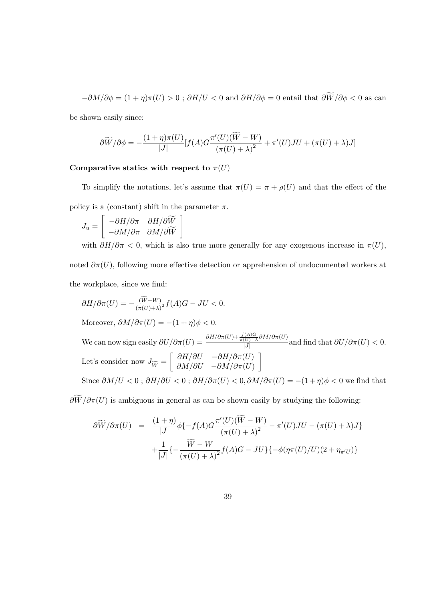$$
-\partial M/\partial \phi = (1+\eta)\pi(U) > 0
$$
;  $\partial H/U < 0$  and  $\partial H/\partial \phi = 0$  entail that  $\partial W/\partial \phi < 0$  as can

be shown easily since:

$$
\frac{\partial \widetilde{W}}{\partial \phi} = -\frac{(1+\eta)\pi(U)}{|J|} [f(A)G\frac{\pi'(U)(\widetilde{W}-W)}{(\pi(U)+\lambda)^2} + \pi'(U)JU + (\pi(U)+\lambda)J]
$$

## Comparative statics with respect to  $\pi(U)$

To simplify the notations, let's assume that  $\pi(U) = \pi + \rho(U)$  and that the effect of the policy is a (constant) shift in the parameter  $\pi$ .

$$
J_u = \left[ \begin{array}{cc} -\partial H/\partial \pi & \partial H/\partial \widetilde W \\ -\partial M/\partial \pi & \partial M/\partial \widetilde W \end{array} \right]
$$

with  $\partial H/\partial \pi < 0$ , which is also true more generally for any exogenous increase in  $\pi(U)$ , noted  $\partial \pi(U)$ , following more effective detection or apprehension of undocumented workers at the workplace, since we find:

$$
\partial H/\partial \pi(U) = -\frac{(\widetilde{W} - W)}{(\pi(U) + \lambda)^2} f(A)G - JU < 0.
$$
  
Moreover,  $\partial M/\partial \pi(U) = -(1 + \eta)\phi < 0$ .  
We can now sign easily  $\partial U/\partial \pi(U) = \frac{\partial H/\partial \pi(U) + \frac{f(A)G}{\pi(U) + \lambda} \partial M/\partial \pi(U)}{|J|}$  and find that  $\partial U/\partial \pi(U) < 0$ .  
Let's consider now  $J_{\widetilde{W}} = \begin{bmatrix} \partial H/\partial U & -\partial H/\partial \pi(U) \\ \partial M/\partial U & -\partial M/\partial \pi(U) \end{bmatrix}$   
Since  $\partial M/U < 0$ ;  $\partial H/\partial U < 0$ ;  $\partial H/\partial \pi(U) < 0$ ,  $\partial M/\partial \pi(U) = -(1 + \eta)\phi < 0$  we find that

 $\partial \widetilde{W}/\partial \pi(U)$  is ambiguous in general as can be shown easily by studying the following:

$$
\partial \widetilde{W}/\partial \pi(U) = \frac{(1+\eta)}{|J|} \phi \{-f(A)G\frac{\pi'(U)(\widetilde{W}-W)}{(\pi(U)+\lambda)^2} - \pi'(U)JU - (\pi(U)+\lambda)J \}
$$

$$
+ \frac{1}{|J|} \{-\frac{\widetilde{W}-W}{(\pi(U)+\lambda)^2}f(A)G - JU \} \{-\phi(\eta\pi(U)/U)(2+\eta_{\pi'(U)})\}
$$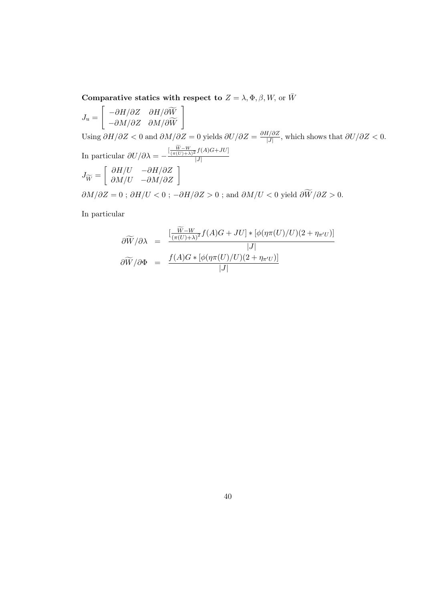**Comparative statics with respect to**  $Z = \lambda, \Phi, \beta, W$ , or  $\overline{W}$ 

 $J_u =$ [ *−∂H/∂Z ∂H/∂W*f *−∂M/∂Z ∂M/∂W*f ] Using  $\partial H/\partial Z < 0$  and  $\partial M/\partial Z = 0$  yields  $\partial U/\partial Z = \frac{\partial H/\partial Z}{\partial I}$  $\frac{1}{|J|}$ , which shows that  $\partial U/\partial Z < 0$ . In particular *∂U/∂λ* = *−*  $\left[\frac{W-W}{(\pi(U)+\lambda)^2}f(A)G+JU\right]$ *|J|*  $J_{\widetilde{W}} =$ [ *∂H/U −∂H/∂Z ∂M/U <sup>−</sup>∂M/∂Z* ]  $\partial M/\partial Z = 0$ ;  $\partial H/U < 0$ ;  $-\partial H/\partial Z > 0$ ; and  $\partial M/U < 0$  yield  $\partial \widetilde{W}/\partial Z > 0$ .

In particular

$$
\frac{\partial \widetilde{W}}{\partial \lambda} = \frac{\left[\frac{\widetilde{W} - W}{(\pi(U) + \lambda)^2} f(A)G + JU\right] * \left[\phi(\eta \pi(U)/U)(2 + \eta_{\pi/U})\right]}{|J|}
$$

$$
\frac{\partial \widetilde{W}}{\partial \Phi} = \frac{f(A)G * \left[\phi(\eta \pi(U)/U)(2 + \eta_{\pi/U})\right]}{|J|}
$$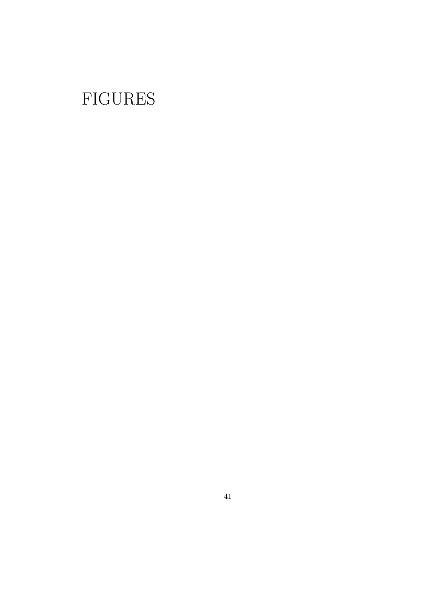# FIGURES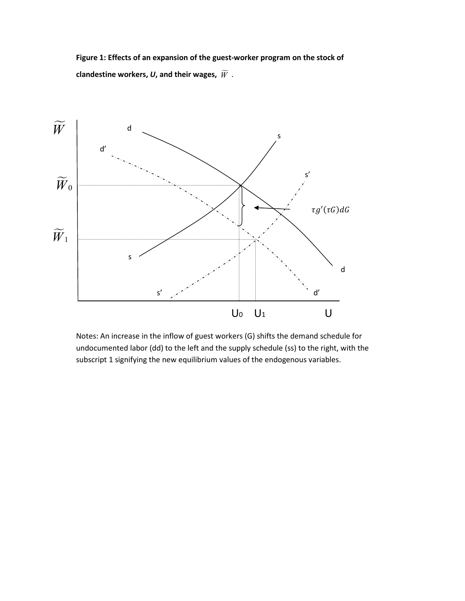Figure 1: Effects of an expansion of the guest-worker program on the stock of clandestine workers, U, and their wages,  $\widetilde{W}$  .



Notes: An increase in the inflow of guest workers (G) shifts the demand schedule for undocumented labor (dd) to the left and the supply schedule (ss) to the right, with the subscript 1 signifying the new equilibrium values of the endogenous variables.